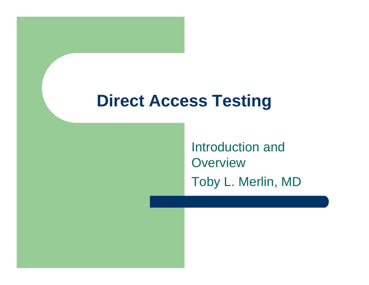Introduction and **Overview** Toby L. Merlin, MD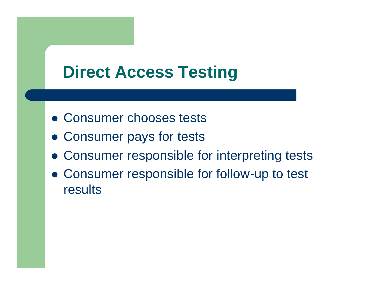- Consumer chooses tests
- Consumer pays for tests
- Consumer responsible for interpreting tests
- Consumer responsible for follow-up to test results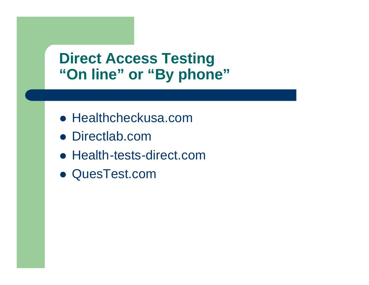### **Direct Access Testing "On line" or "By phone"**

- Healthcheckusa.com
- Directlab.com
- Health-tests-direct.com
- QuesTest.com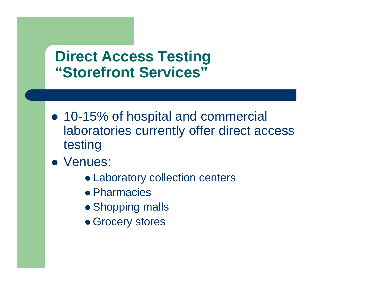#### **Direct Access Testing "Storefront Services"**

- 10-15% of hospital and commercial laboratories currently offer direct access testing
- Venues:
	- Laboratory collection centers
	- **Pharmacies**
	- Shopping malls
	- Grocery stores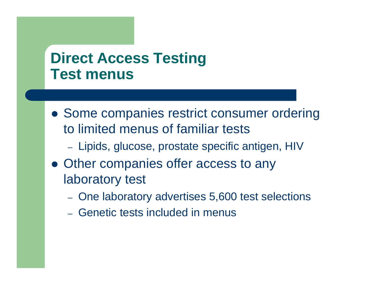#### **Direct Access Testing Test menus**

- Some companies restrict consumer ordering to limited menus of familiar tests
	- Lipids, glucose, prostate specific antigen, HIV
- Other companies offer access to any laboratory test
	- One laboratory advertises 5,600 test selections
	- Genetic tests included in menus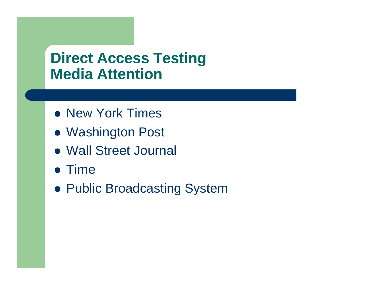#### **Direct Access Testing Media Attention**

- New York Times
- Washington Post
- Wall Street Journal
- $\bullet$  Time
- Public Broadcasting System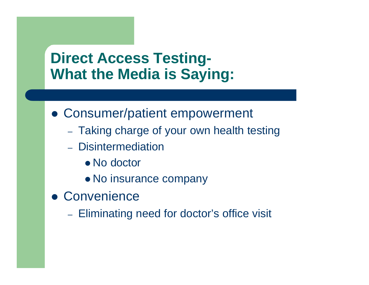### **Direct Access Testing-What the Media is Saying:**

- Consumer/patient empowerment
	- Taking charge of your own health testing
	- Disintermediation
		- No doctor
		- No insurance company
- **Convenience** 
	- Eliminating need for doctor's office visit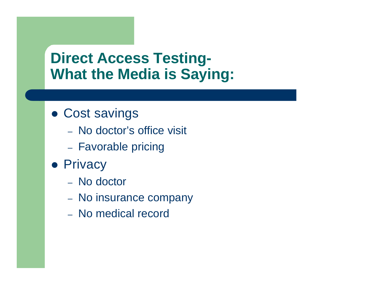### **Direct Access Testing-What the Media is Saying:**

- Cost savings
	- No doctor's office visit
	- Favorable pricing
- Privacy
	- No doctor
	- No insurance company
	- No medical record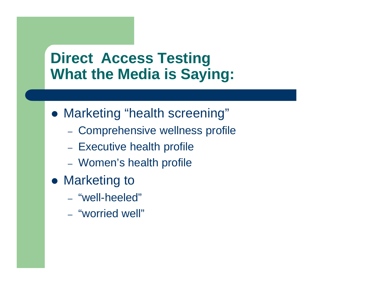### **Direct Access Testing What the Media is Saying:**

- Marketing "health screening"
	- Comprehensive wellness profile
	- Executive health profile
	- Women's health profile
- Marketing to
	- "well-heeled"
	- "worried well"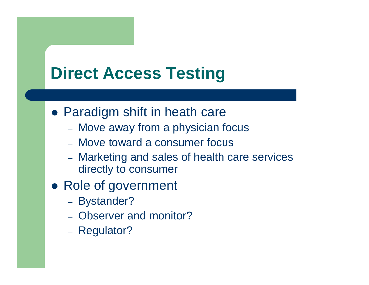- Paradigm shift in heath care
	- Move away from a physician focus
	- Move toward a consumer focus
	- Marketing and sales of health care services directly to consumer
- Role of government
	- Bystander?
	- Observer and monitor?
	- Regulator?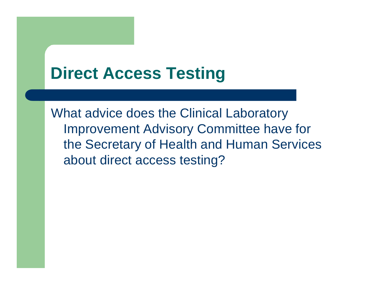What advice does the Clinical Laboratory Improvement Advisory Committee have for the Secretary of Health and Human Services about direct access testing?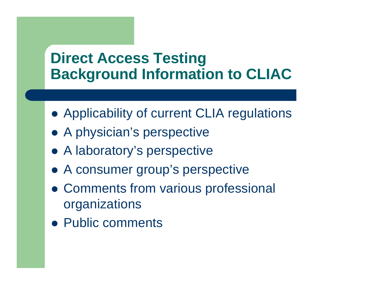#### **Direct Access Testing Background Information to CLIAC**

- Applicability of current CLIA regulations
- A physician's perspective
- A laboratory's perspective
- A consumer group's perspective
- Comments from various professional organizations
- Public comments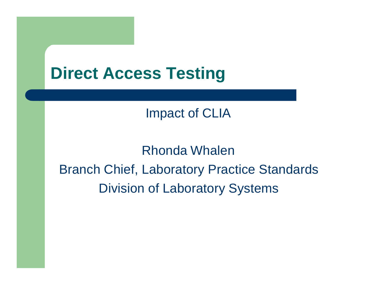Impact of CLIA

Rhonda Whalen Branch Chief, Laboratory Practice Standards Division of Laboratory Systems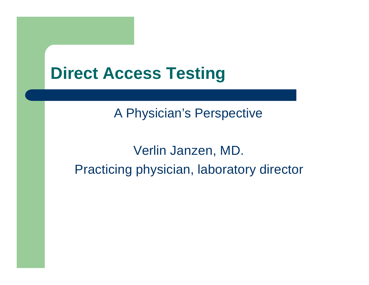#### A Physician's Perspective

### Verlin Janzen, MD. Practicing physician, laboratory director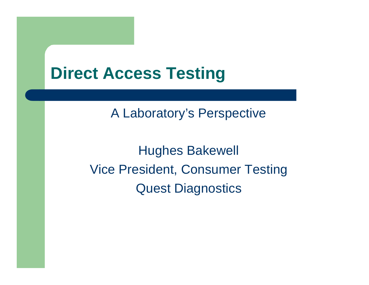A Laboratory's Perspective

Hughes Bakewell Vice President, Consumer Testing Quest Diagnostics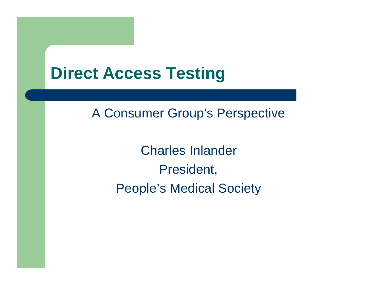#### A Consumer Group's Perspective

Charles Inlander President, People's Medical Society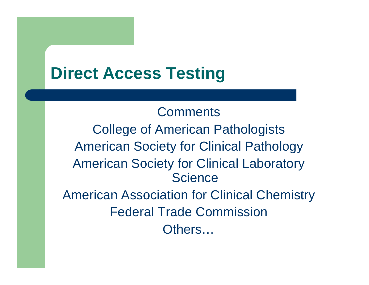**Comments** College of American Pathologists American Society for Clinical Pathology American Society for Clinical Laboratory **Science** American Association for Clinical Chemistry Federal Trade Commission Others…